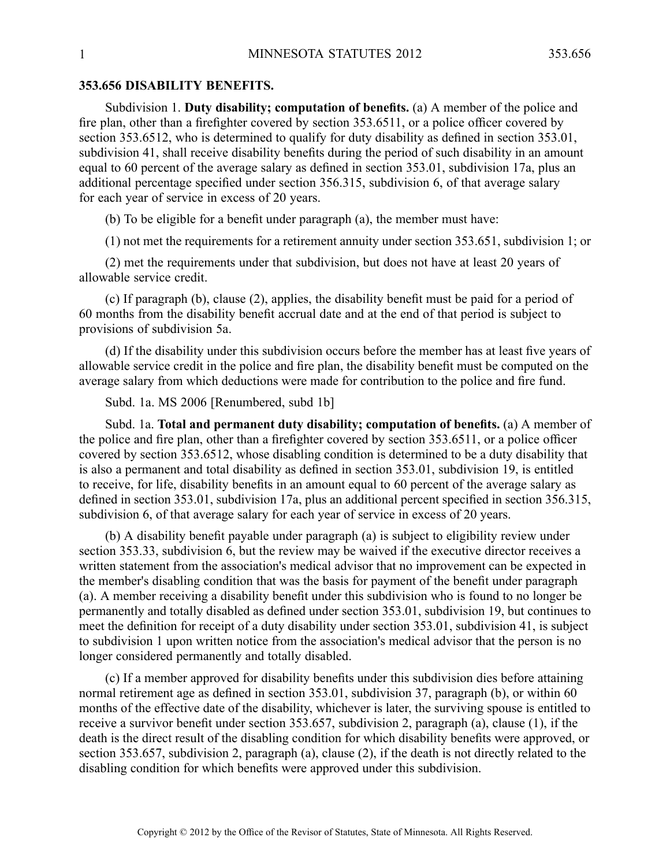## **353.656 DISABILITY BENEFITS.**

Subdivision 1. **Duty disability; computation of benefits.** (a) A member of the police and fire plan, other than <sup>a</sup> firefighter covered by section 353.6511, or <sup>a</sup> police officer covered by section 353.6512, who is determined to qualify for duty disability as defined in section 353.01, subdivision 41, shall receive disability benefits during the period of such disability in an amount equal to 60 percen<sup>t</sup> of the average salary as defined in section 353.01, subdivision 17a, plus an additional percentage specified under section 356.315, subdivision 6, of that average salary for each year of service in excess of 20 years.

(b) To be eligible for <sup>a</sup> benefit under paragraph (a), the member must have:

(1) not met the requirements for <sup>a</sup> retirement annuity under section 353.651, subdivision 1; or

(2) met the requirements under that subdivision, but does not have at least 20 years of allowable service credit.

(c) If paragraph (b), clause (2), applies, the disability benefit must be paid for <sup>a</sup> period of 60 months from the disability benefit accrual date and at the end of that period is subject to provisions of subdivision 5a.

(d) If the disability under this subdivision occurs before the member has at least five years of allowable service credit in the police and fire plan, the disability benefit must be computed on the average salary from which deductions were made for contribution to the police and fire fund.

Subd. 1a. MS 2006 [Renumbered, subd 1b]

Subd. 1a. **Total and permanen<sup>t</sup> duty disability; computation of benefits.** (a) A member of the police and fire plan, other than <sup>a</sup> firefighter covered by section 353.6511, or <sup>a</sup> police officer covered by section 353.6512, whose disabling condition is determined to be <sup>a</sup> duty disability that is also <sup>a</sup> permanen<sup>t</sup> and total disability as defined in section 353.01, subdivision 19, is entitled to receive, for life, disability benefits in an amount equal to 60 percen<sup>t</sup> of the average salary as defined in section 353.01, subdivision 17a, plus an additional percen<sup>t</sup> specified in section 356.315, subdivision 6, of that average salary for each year of service in excess of 20 years.

(b) A disability benefit payable under paragraph (a) is subject to eligibility review under section 353.33, subdivision 6, but the review may be waived if the executive director receives <sup>a</sup> written statement from the association's medical advisor that no improvement can be expected in the member's disabling condition that was the basis for paymen<sup>t</sup> of the benefit under paragraph (a). Amember receiving <sup>a</sup> disability benefit under this subdivision who is found to no longer be permanently and totally disabled as defined under section 353.01, subdivision 19, but continues to meet the definition for receipt of <sup>a</sup> duty disability under section 353.01, subdivision 41, is subject to subdivision 1 upon written notice from the association's medical advisor that the person is no longer considered permanently and totally disabled.

(c) If <sup>a</sup> member approved for disability benefits under this subdivision dies before attaining normal retirement age as defined in section 353.01, subdivision 37, paragraph (b), or within 60 months of the effective date of the disability, whichever is later, the surviving spouse is entitled to receive <sup>a</sup> survivor benefit under section 353.657, subdivision 2, paragraph (a), clause (1), if the death is the direct result of the disabling condition for which disability benefits were approved, or section 353.657, subdivision 2, paragraph (a), clause (2), if the death is not directly related to the disabling condition for which benefits were approved under this subdivision.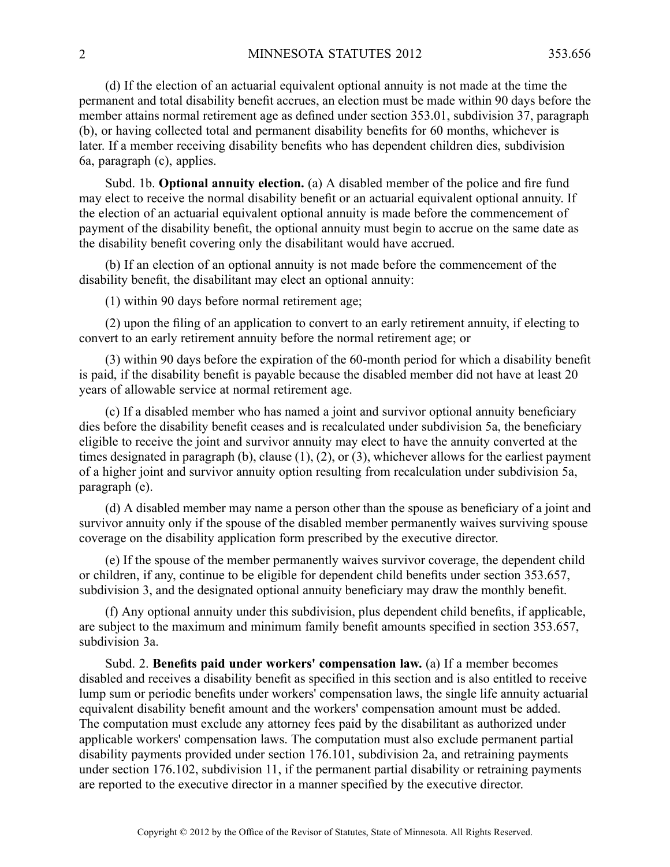(d) If the election of an actuarial equivalent optional annuity is not made at the time the permanen<sup>t</sup> and total disability benefit accrues, an election must be made within 90 days before the member attains normal retirement age as defined under section 353.01, subdivision 37, paragraph (b), or having collected total and permanen<sup>t</sup> disability benefits for 60 months, whichever is later. If <sup>a</sup> member receiving disability benefits who has dependent children dies, subdivision 6a, paragraph (c), applies.

Subd. 1b. **Optional annuity election.** (a) A disabled member of the police and fire fund may elect to receive the normal disability benefit or an actuarial equivalent optional annuity. If the election of an actuarial equivalent optional annuity is made before the commencement of paymen<sup>t</sup> of the disability benefit, the optional annuity must begin to accrue on the same date as the disability benefit covering only the disabilitant would have accrued.

(b) If an election of an optional annuity is not made before the commencement of the disability benefit, the disabilitant may elect an optional annuity:

(1) within 90 days before normal retirement age;

(2) upon the filing of an application to convert to an early retirement annuity, if electing to convert to an early retirement annuity before the normal retirement age; or

(3) within 90 days before the expiration of the 60-month period for which <sup>a</sup> disability benefit is paid, if the disability benefit is payable because the disabled member did not have at least 20 years of allowable service at normal retirement age.

(c) If <sup>a</sup> disabled member who has named <sup>a</sup> joint and survivor optional annuity beneficiary dies before the disability benefit ceases and is recalculated under subdivision 5a, the beneficiary eligible to receive the joint and survivor annuity may elect to have the annuity converted at the times designated in paragraph (b), clause (1), (2), or (3), whichever allows for the earliest paymen<sup>t</sup> of <sup>a</sup> higher joint and survivor annuity option resulting from recalculation under subdivision 5a, paragraph (e).

(d) A disabled member may name <sup>a</sup> person other than the spouse as beneficiary of <sup>a</sup> joint and survivor annuity only if the spouse of the disabled member permanently waives surviving spouse coverage on the disability application form prescribed by the executive director.

(e) If the spouse of the member permanently waives survivor coverage, the dependent child or children, if any, continue to be eligible for dependent child benefits under section 353.657, subdivision 3, and the designated optional annuity beneficiary may draw the monthly benefit.

(f) Any optional annuity under this subdivision, plus dependent child benefits, if applicable, are subject to the maximum and minimum family benefit amounts specified in section 353.657, subdivision 3a.

Subd. 2. **Benefits paid under workers' compensation law.** (a) If <sup>a</sup> member becomes disabled and receives <sup>a</sup> disability benefit as specified in this section and is also entitled to receive lump sum or periodic benefits under workers' compensation laws, the single life annuity actuarial equivalent disability benefit amount and the workers' compensation amount must be added. The computation must exclude any attorney fees paid by the disabilitant as authorized under applicable workers' compensation laws. The computation must also exclude permanen<sup>t</sup> partial disability payments provided under section 176.101, subdivision 2a, and retraining payments under section 176.102, subdivision 11, if the permanen<sup>t</sup> partial disability or retraining payments are reported to the executive director in <sup>a</sup> manner specified by the executive director.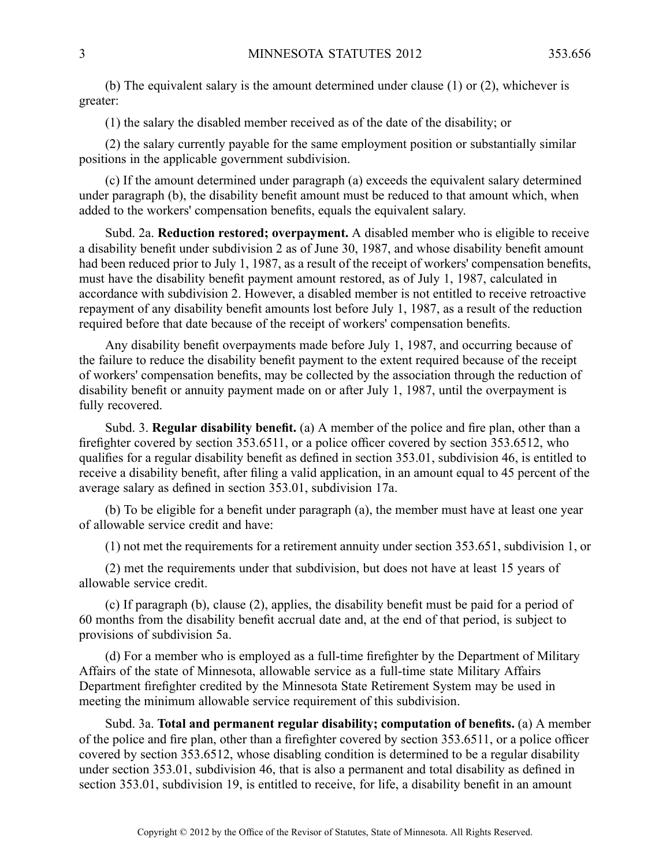(b) The equivalent salary is the amount determined under clause (1) or (2), whichever is greater:

(1) the salary the disabled member received as of the date of the disability; or

(2) the salary currently payable for the same employment position or substantially similar positions in the applicable governmen<sup>t</sup> subdivision.

(c) If the amount determined under paragraph (a) exceeds the equivalent salary determined under paragraph (b), the disability benefit amount must be reduced to that amount which, when added to the workers' compensation benefits, equals the equivalent salary.

Subd. 2a. **Reduction restored; overpayment.** Adisabled member who is eligible to receive <sup>a</sup> disability benefit under subdivision 2 as of June 30, 1987, and whose disability benefit amount had been reduced prior to July 1, 1987, as <sup>a</sup> result of the receipt of workers' compensation benefits, must have the disability benefit paymen<sup>t</sup> amount restored, as of July 1, 1987, calculated in accordance with subdivision 2. However, <sup>a</sup> disabled member is not entitled to receive retroactive repaymen<sup>t</sup> of any disability benefit amounts lost before July 1, 1987, as <sup>a</sup> result of the reduction required before that date because of the receipt of workers' compensation benefits.

Any disability benefit overpayments made before July 1, 1987, and occurring because of the failure to reduce the disability benefit paymen<sup>t</sup> to the extent required because of the receipt of workers' compensation benefits, may be collected by the association through the reduction of disability benefit or annuity paymen<sup>t</sup> made on or after July 1, 1987, until the overpaymen<sup>t</sup> is fully recovered.

Subd. 3. **Regular disability benefit.** (a) A member of the police and fire plan, other than <sup>a</sup> firefighter covered by section 353.6511, or <sup>a</sup> police officer covered by section 353.6512, who qualifies for <sup>a</sup> regular disability benefit as defined in section 353.01, subdivision 46, is entitled to receive <sup>a</sup> disability benefit, after filing <sup>a</sup> valid application, in an amount equal to 45 percen<sup>t</sup> of the average salary as defined in section 353.01, subdivision 17a.

(b) To be eligible for <sup>a</sup> benefit under paragraph (a), the member must have at least one year of allowable service credit and have:

(1) not met the requirements for <sup>a</sup> retirement annuity under section 353.651, subdivision 1, or

(2) met the requirements under that subdivision, but does not have at least 15 years of allowable service credit.

(c) If paragraph (b), clause (2), applies, the disability benefit must be paid for <sup>a</sup> period of 60 months from the disability benefit accrual date and, at the end of that period, is subject to provisions of subdivision 5a.

(d) For <sup>a</sup> member who is employed as <sup>a</sup> full-time firefighter by the Department of Military Affairs of the state of Minnesota, allowable service as <sup>a</sup> full-time state Military Affairs Department firefighter credited by the Minnesota State Retirement System may be used in meeting the minimum allowable service requirement of this subdivision.

Subd. 3a. **Total and permanen<sup>t</sup> regular disability; computation of benefits.** (a) A member of the police and fire plan, other than <sup>a</sup> firefighter covered by section 353.6511, or <sup>a</sup> police officer covered by section 353.6512, whose disabling condition is determined to be <sup>a</sup> regular disability under section 353.01, subdivision 46, that is also <sup>a</sup> permanen<sup>t</sup> and total disability as defined in section 353.01, subdivision 19, is entitled to receive, for life, <sup>a</sup> disability benefit in an amount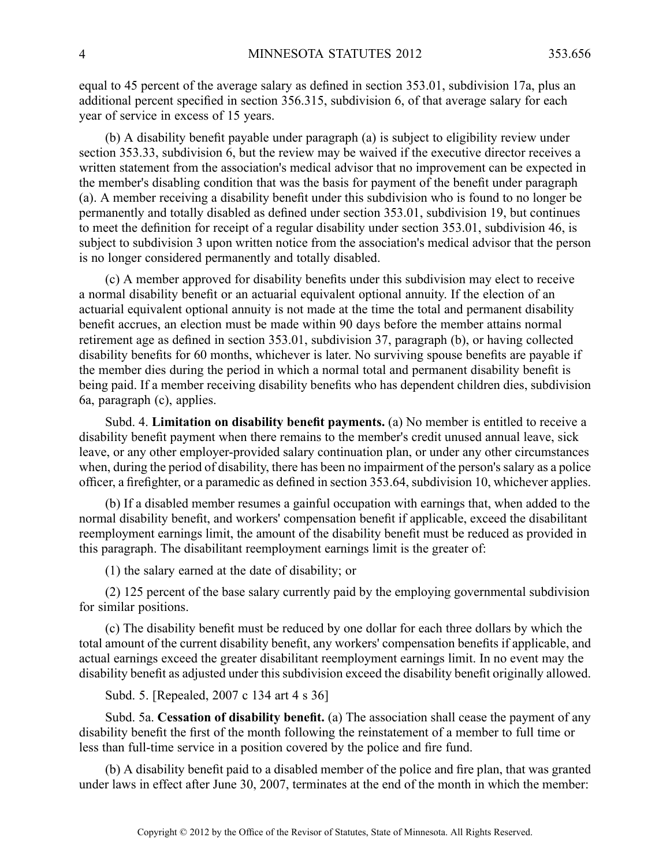equal to 45 percen<sup>t</sup> of the average salary as defined in section 353.01, subdivision 17a, plus an additional percen<sup>t</sup> specified in section 356.315, subdivision 6, of that average salary for each year of service in excess of 15 years.

(b) A disability benefit payable under paragraph (a) is subject to eligibility review under section 353.33, subdivision 6, but the review may be waived if the executive director receives <sup>a</sup> written statement from the association's medical advisor that no improvement can be expected in the member's disabling condition that was the basis for paymen<sup>t</sup> of the benefit under paragraph (a). Amember receiving <sup>a</sup> disability benefit under this subdivision who is found to no longer be permanently and totally disabled as defined under section 353.01, subdivision 19, but continues to meet the definition for receipt of <sup>a</sup> regular disability under section 353.01, subdivision 46, is subject to subdivision 3 upon written notice from the association's medical advisor that the person is no longer considered permanently and totally disabled.

(c) A member approved for disability benefits under this subdivision may elect to receive <sup>a</sup> normal disability benefit or an actuarial equivalent optional annuity. If the election of an actuarial equivalent optional annuity is not made at the time the total and permanen<sup>t</sup> disability benefit accrues, an election must be made within 90 days before the member attains normal retirement age as defined in section 353.01, subdivision 37, paragraph (b), or having collected disability benefits for 60 months, whichever is later. No surviving spouse benefits are payable if the member dies during the period in which <sup>a</sup> normal total and permanen<sup>t</sup> disability benefit is being paid. If <sup>a</sup> member receiving disability benefits who has dependent children dies, subdivision 6a, paragraph (c), applies.

Subd. 4. **Limitation on disability benefit payments.** (a) No member is entitled to receive <sup>a</sup> disability benefit paymen<sup>t</sup> when there remains to the member's credit unused annual leave, sick leave, or any other employer-provided salary continuation plan, or under any other circumstances when, during the period of disability, there has been no impairment of the person's salary as <sup>a</sup> police officer, <sup>a</sup> firefighter, or <sup>a</sup> paramedic as defined in section 353.64, subdivision 10, whichever applies.

(b) If <sup>a</sup> disabled member resumes <sup>a</sup> gainful occupation with earnings that, when added to the normal disability benefit, and workers' compensation benefit if applicable, exceed the disabilitant reemployment earnings limit, the amount of the disability benefit must be reduced as provided in this paragraph. The disabilitant reemployment earnings limit is the greater of:

(1) the salary earned at the date of disability; or

(2) 125 percen<sup>t</sup> of the base salary currently paid by the employing governmental subdivision for similar positions.

(c) The disability benefit must be reduced by one dollar for each three dollars by which the total amount of the current disability benefit, any workers' compensation benefits if applicable, and actual earnings exceed the greater disabilitant reemployment earnings limit. In no event may the disability benefit as adjusted under this subdivision exceed the disability benefit originally allowed.

Subd. 5. [Repealed, 2007 <sup>c</sup> 134 art 4 <sup>s</sup> 36]

Subd. 5a. **Cessation of disability benefit.** (a) The association shall cease the paymen<sup>t</sup> of any disability benefit the first of the month following the reinstatement of <sup>a</sup> member to full time or less than full-time service in <sup>a</sup> position covered by the police and fire fund.

(b) A disability benefit paid to <sup>a</sup> disabled member of the police and fire plan, that was granted under laws in effect after June 30, 2007, terminates at the end of the month in which the member: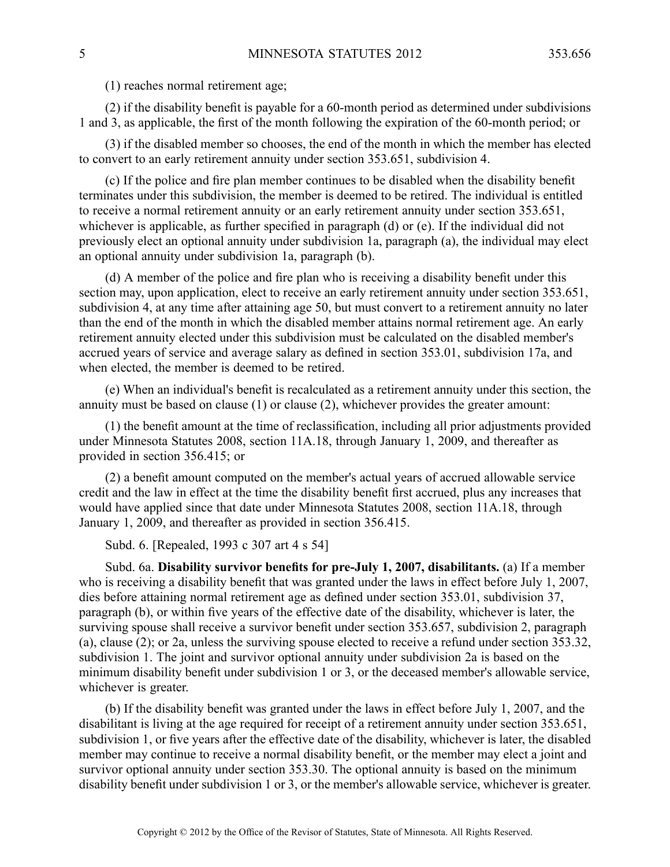(1) reaches normal retirement age;

(2) if the disability benefit is payable for <sup>a</sup> 60-month period as determined under subdivisions 1 and 3, as applicable, the first of the month following the expiration of the 60-month period; or

(3) if the disabled member so chooses, the end of the month in which the member has elected to convert to an early retirement annuity under section 353.651, subdivision 4.

(c) If the police and fire plan member continues to be disabled when the disability benefit terminates under this subdivision, the member is deemed to be retired. The individual is entitled to receive <sup>a</sup> normal retirement annuity or an early retirement annuity under section 353.651, whichever is applicable, as further specified in paragraph (d) or (e). If the individual did not previously elect an optional annuity under subdivision 1a, paragraph (a), the individual may elect an optional annuity under subdivision 1a, paragraph (b).

(d) A member of the police and fire plan who is receiving <sup>a</sup> disability benefit under this section may, upon application, elect to receive an early retirement annuity under section 353.651, subdivision 4, at any time after attaining age 50, but must convert to <sup>a</sup> retirement annuity no later than the end of the month in which the disabled member attains normal retirement age. An early retirement annuity elected under this subdivision must be calculated on the disabled member's accrued years of service and average salary as defined in section 353.01, subdivision 17a, and when elected, the member is deemed to be retired.

(e) When an individual's benefit is recalculated as <sup>a</sup> retirement annuity under this section, the annuity must be based on clause (1) or clause (2), whichever provides the greater amount:

(1) the benefit amount at the time of reclassification, including all prior adjustments provided under Minnesota Statutes 2008, section 11A.18, through January 1, 2009, and thereafter as provided in section 356.415; or

(2) <sup>a</sup> benefit amount computed on the member's actual years of accrued allowable service credit and the law in effect at the time the disability benefit first accrued, plus any increases that would have applied since that date under Minnesota Statutes 2008, section 11A.18, through January 1, 2009, and thereafter as provided in section 356.415.

Subd. 6. [Repealed, 1993 <sup>c</sup> 307 art 4 <sup>s</sup> 54]

Subd. 6a. **Disability survivor benefits for pre-July 1, 2007, disabilitants.** (a) If <sup>a</sup> member who is receiving <sup>a</sup> disability benefit that was granted under the laws in effect before July 1, 2007, dies before attaining normal retirement age as defined under section 353.01, subdivision 37, paragraph (b), or within five years of the effective date of the disability, whichever is later, the surviving spouse shall receive <sup>a</sup> survivor benefit under section 353.657, subdivision 2, paragraph (a), clause (2); or 2a, unless the surviving spouse elected to receive <sup>a</sup> refund under section 353.32, subdivision 1. The joint and survivor optional annuity under subdivision 2a is based on the minimum disability benefit under subdivision 1 or 3, or the deceased member's allowable service, whichever is greater.

(b) If the disability benefit was granted under the laws in effect before July 1, 2007, and the disabilitant is living at the age required for receipt of <sup>a</sup> retirement annuity under section 353.651, subdivision 1, or five years after the effective date of the disability, whichever is later, the disabled member may continue to receive <sup>a</sup> normal disability benefit, or the member may elect <sup>a</sup> joint and survivor optional annuity under section 353.30. The optional annuity is based on the minimum disability benefit under subdivision 1 or 3, or the member's allowable service, whichever is greater.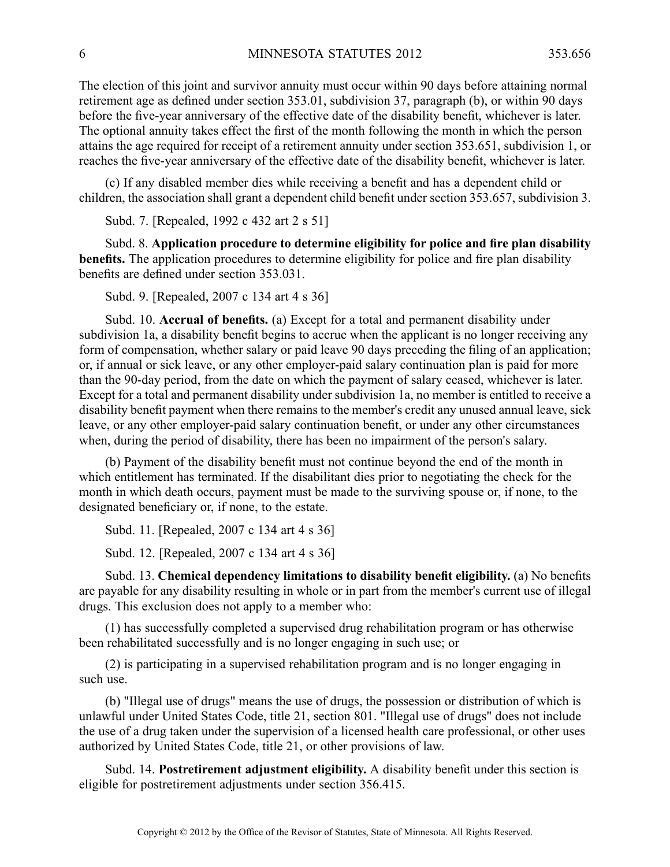The election of this joint and survivor annuity must occur within 90 days before attaining normal retirement age as defined under section 353.01, subdivision 37, paragraph (b), or within 90 days before the five-year anniversary of the effective date of the disability benefit, whichever is later. The optional annuity takes effect the first of the month following the month in which the person attains the age required for receipt of <sup>a</sup> retirement annuity under section 353.651, subdivision 1, or reaches the five-year anniversary of the effective date of the disability benefit, whichever is later.

(c) If any disabled member dies while receiving <sup>a</sup> benefit and has <sup>a</sup> dependent child or children, the association shall gran<sup>t</sup> <sup>a</sup> dependent child benefit under section 353.657, subdivision 3.

Subd. 7. [Repealed, 1992 <sup>c</sup> 432 art 2 <sup>s</sup> 51]

Subd. 8. **Application procedure to determine eligibility for police and fire plan disability benefits.** The application procedures to determine eligibility for police and fire plan disability benefits are defined under section 353.031.

Subd. 9. [Repealed, 2007 <sup>c</sup> 134 art 4 <sup>s</sup> 36]

Subd. 10. **Accrual of benefits.** (a) Except for <sup>a</sup> total and permanen<sup>t</sup> disability under subdivision 1a, <sup>a</sup> disability benefit begins to accrue when the applicant is no longer receiving any form of compensation, whether salary or paid leave 90 days preceding the filing of an application; or, if annual or sick leave, or any other employer-paid salary continuation plan is paid for more than the 90-day period, from the date on which the paymen<sup>t</sup> of salary ceased, whichever is later. Except for <sup>a</sup> total and permanen<sup>t</sup> disability under subdivision 1a, no member is entitled to receive <sup>a</sup> disability benefit paymen<sup>t</sup> when there remains to the member's credit any unused annual leave, sick leave, or any other employer-paid salary continuation benefit, or under any other circumstances when, during the period of disability, there has been no impairment of the person's salary.

(b) Payment of the disability benefit must not continue beyond the end of the month in which entitlement has terminated. If the disabilitant dies prior to negotiating the check for the month in which death occurs, paymen<sup>t</sup> must be made to the surviving spouse or, if none, to the designated beneficiary or, if none, to the estate.

Subd. 11. [Repealed, 2007 <sup>c</sup> 134 art 4 <sup>s</sup> 36]

Subd. 12. [Repealed, 2007 <sup>c</sup> 134 art 4 <sup>s</sup> 36]

Subd. 13. **Chemical dependency limitations to disability benefit eligibility.** (a) No benefits are payable for any disability resulting in whole or in par<sup>t</sup> from the member's current use of illegal drugs. This exclusion does not apply to <sup>a</sup> member who:

(1) has successfully completed <sup>a</sup> supervised drug rehabilitation program or has otherwise been rehabilitated successfully and is no longer engaging in such use; or

(2) is participating in <sup>a</sup> supervised rehabilitation program and is no longer engaging in such use.

(b) "Illegal use of drugs" means the use of drugs, the possession or distribution of which is unlawful under United States Code, title 21, section 801. "Illegal use of drugs" does not include the use of <sup>a</sup> drug taken under the supervision of <sup>a</sup> licensed health care professional, or other uses authorized by United States Code, title 21, or other provisions of law.

Subd. 14. **Postretirement adjustment eligibility.** A disability benefit under this section is eligible for postretirement adjustments under section 356.415.